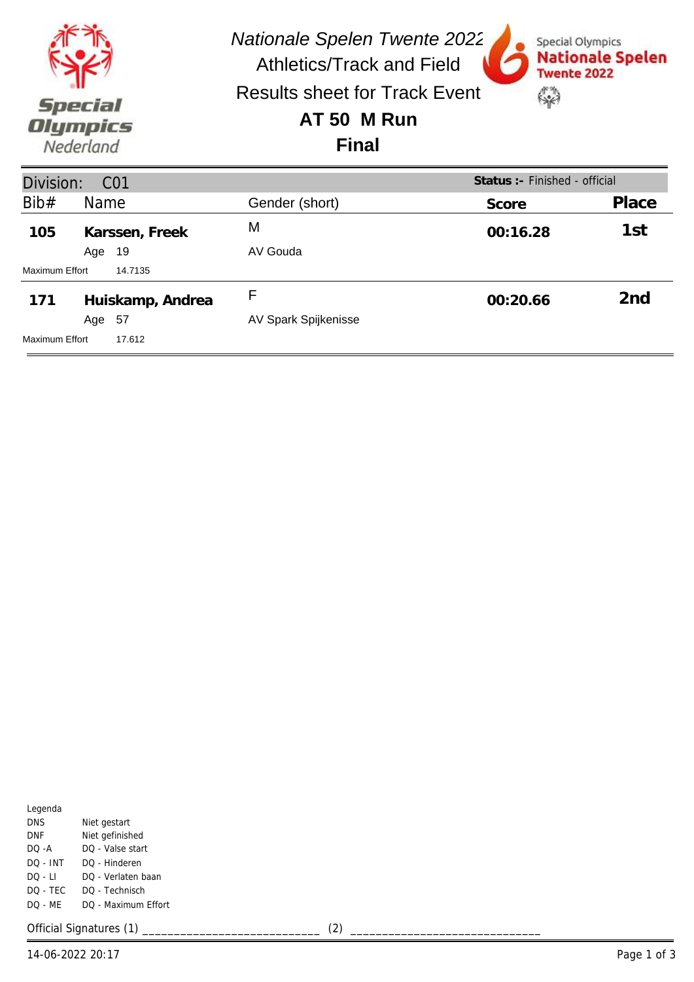| Special<br>Olympics<br>Nederland |        |                       | <b>Nationale Spelen Twente 2022</b><br><b>Athletics/Track and Field</b><br><b>Results sheet for Track Event</b><br>AT 50 M Run<br><b>Final</b> | Special Olympics<br>Twente 2022<br>$\rightarrow$ | <b>Nationale Spelen</b> |
|----------------------------------|--------|-----------------------|------------------------------------------------------------------------------------------------------------------------------------------------|--------------------------------------------------|-------------------------|
| Division:                        |        | CO <sub>1</sub>       |                                                                                                                                                | Status : - Finished - official                   |                         |
| Bib#                             | Name   |                       | Gender (short)                                                                                                                                 | Score                                            | Place                   |
| 105                              | Age    | Karssen, Freek<br>-19 | М<br>AV Gouda                                                                                                                                  | 00:16.28                                         | 1st                     |
| Maximum Effort<br>14.7135        |        |                       |                                                                                                                                                |                                                  |                         |
| 171                              | Age 57 | Huiskamp, Andrea      | F<br>AV Spark Spijkenisse                                                                                                                      | 00:20.66                                         | 2 <sub>nd</sub>         |
| Maximum Effort                   |        | 17.612                |                                                                                                                                                |                                                  |                         |

| Niet gestart        |
|---------------------|
| Niet gefinished     |
| DO - Valse start    |
| DO - Hinderen       |
| DO - Verlaten baan  |
| DO - Technisch      |
| DO - Maximum Effort |
|                     |

Official Signatures (1) \_\_\_\_\_\_\_\_\_\_\_\_\_\_\_\_\_\_\_\_\_\_\_\_\_\_\_\_ (2) \_\_\_\_\_\_\_\_\_\_\_\_\_\_\_\_\_\_\_\_\_\_\_\_\_\_\_\_\_\_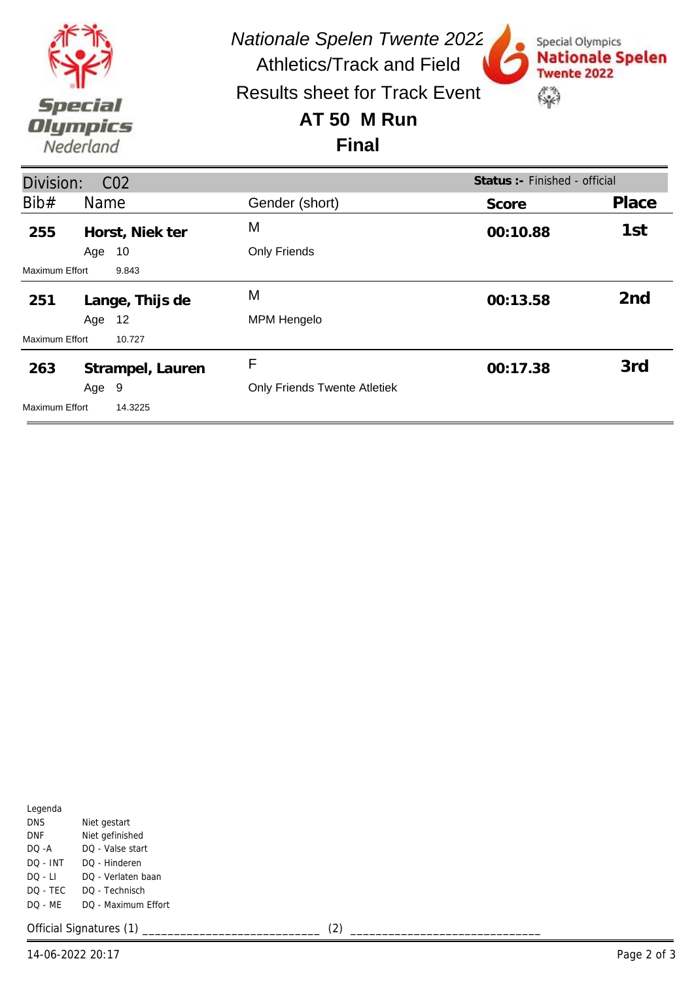

**Lange, Thijs de 251** M **00:13.58 2nd**

**Strampel, Lauren 263** F **00:17.38 3rd**

Only Friends Twente Atletiek

Only Friends

MPM Hengelo

| Legenda    |                     |
|------------|---------------------|
| <b>DNS</b> | Niet gestart        |
| DNF        | Niet gefinished     |
| DO -A      | DO - Valse start    |
| $DO - INT$ | DO - Hinderen       |
| $DO - LI$  | DO - Verlaten baan  |
| DO - TEC   | DO - Technisch      |
| $DO - MF$  | DQ - Maximum Effort |
|            |                     |

Age 10

Age 12

Age 9

Maximum Effort 9.843

Maximum Effort 10.727

Maximum Effort 14.3225

Official Signatures (1) \_\_\_\_\_\_\_\_\_\_\_\_\_\_\_\_\_\_\_\_\_\_\_\_\_\_\_\_ (2) \_\_\_\_\_\_\_\_\_\_\_\_\_\_\_\_\_\_\_\_\_\_\_\_\_\_\_\_\_\_